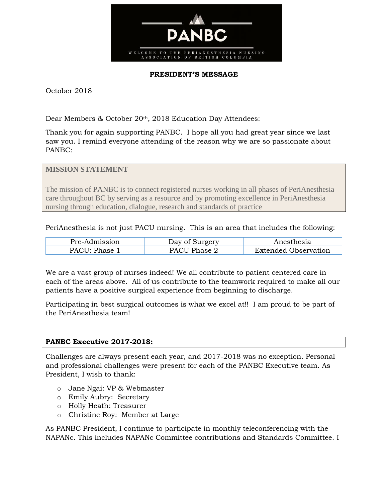

## **PRESIDENT'S MESSAGE**

October 2018

Dear Members & October 20th, 2018 Education Day Attendees:

Thank you for again supporting PANBC. I hope all you had great year since we last saw you. I remind everyone attending of the reason why we are so passionate about PANBC:

**MISSION STATEMENT**

The mission of PANBC is to connect registered nurses working in all phases of PeriAnesthesia care throughout BC by serving as a resource and by promoting excellence in PeriAnesthesia nursing through education, dialogue, research and standards of practice

PeriAnesthesia is not just PACU nursing. This is an area that includes the following:

| Pre-Admission         | Dav of Surgery | Anesthesia                  |
|-----------------------|----------------|-----------------------------|
| $PACII \cdot Phase 1$ | PACU Phase 2   | <b>Extended Observation</b> |

We are a vast group of nurses indeed! We all contribute to patient centered care in each of the areas above. All of us contribute to the teamwork required to make all our patients have a positive surgical experience from beginning to discharge.

Participating in best surgical outcomes is what we excel at!! I am proud to be part of the PeriAnesthesia team!

## **PANBC Executive 2017-2018:**

Challenges are always present each year, and 2017-2018 was no exception. Personal and professional challenges were present for each of the PANBC Executive team. As President, I wish to thank:

- o Jane Ngai: VP & Webmaster
- o Emily Aubry: Secretary
- o Holly Heath: Treasurer
- o Christine Roy: Member at Large

As PANBC President, I continue to participate in monthly teleconferencing with the NAPANc. This includes NAPANc Committee contributions and Standards Committee. I